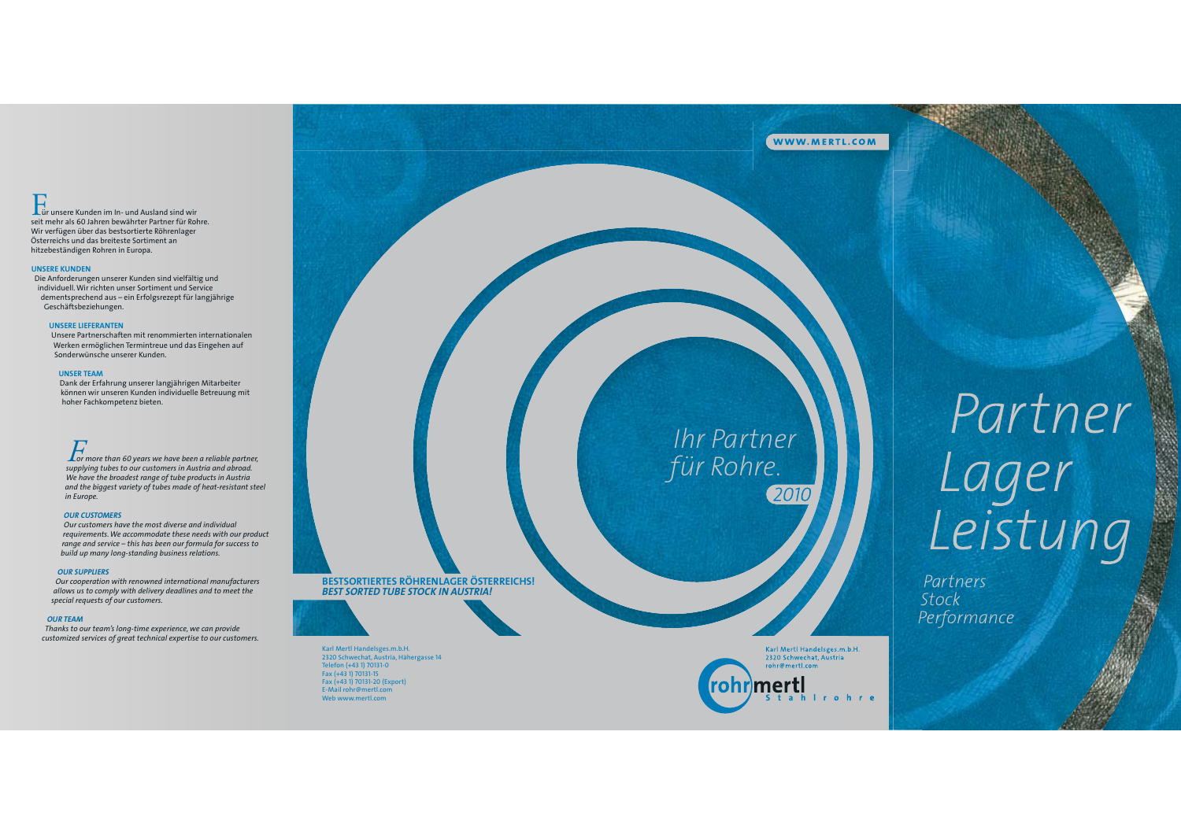# Lür unsere Kunden im In- und Ausland sind wir

seit mehr als 60 Jahren bewährter Partner für Rohre. Wir verfügen über das bestsortierte Röhrenlager Österreichs und das breiteste Sortiment an hitzebeständigen Rohren in Europa.

### **UNSERE KUNDEN**

Die Anforderungen unserer Kunden sind vielfältig und individuell. Wir richten unser Sortiment und Service dementsprechend aus - ein Erfolgsrezept für langjährige Geschäftsbeziehungen.

### **UNSERE LIEFERANTEN**

Unsere Partnerschaften mit renommierten internationalen Werken ermöglichen Termintreue und das Eingehen auf Sonderwünsche unserer Kunden.

### **UNSER TEAM**

Dank der Erfahrung unserer langjährigen Mitarbeiter können wir unseren Kunden individuelle Betreuung mit hoher Fachkompetenz bieten.

For more than 60 years we have been a reliable partner, supplying tubes to our customers in Austria and abroad.<br>We have the broadest range of tube products in Austria and the biggest variety of tubes made of heat-resistant steel in Europe.

### **OUR CUSTOMERS**

Our customers have the most diverse and individual requirements. We accommodate these needs with our product range and service – this has been our formula for success to build up many long-standing business relations.

### **OUR SUPPLIERS**

Our cooperation with renowned international manufacturers allows us to comply with delivery deadlines and to meet the special requests of our customers.

### **OUR TEAM**

Thanks to our team's long-time experience, we can provide customized services of great technical expertise to our customers. BESTSORTIERTES RÖHRENLAGER ÖSTERREICHS! **BEST SORTED TUBE STOCK IN AUSTRIA!** 

Karl Mertl Handelsges.m.b.H. 2320 Schwechat, Austria, Hähergasse 14<br>Telefon (+43 1) 70131-0

Fax (+43 1) 70131-15 Fax (+43 1) 70131-20 (Export) E-Mail rohr@mertl.com Web www.mertl.com

**Ihr Partner** für Rohre. 2010

Karl Mertl Handelsges.m.b.H.

**Example 11 Handers gestine**<br>2320 Schwechat, Austria<br>rohr@mertl.com

rohr)mertl

# Partner<br>Lager<br>Leistung

Partners Stock Performance

WWW.MERTL.COM